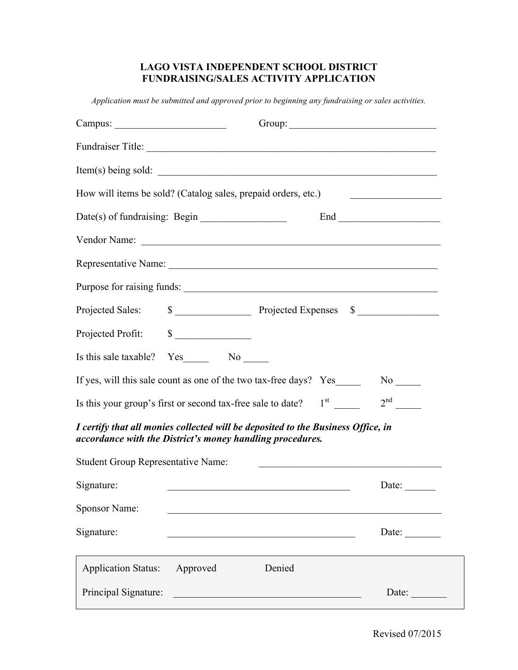## **LAGO VISTA INDEPENDENT SCHOOL DISTRICT FUNDRAISING/SALES ACTIVITY APPLICATION**

*Application must be submitted and approved prior to beginning any fundraising or sales activities.*

|                                                                                   |          | Fundraiser Title: <u>Contract of the Contract of the Contract of the Contract of the Contract of the Contract of the Contract of the Contract of the Contract of the Contract of the Contract of the Contract of the Contract of</u> |                       |
|-----------------------------------------------------------------------------------|----------|--------------------------------------------------------------------------------------------------------------------------------------------------------------------------------------------------------------------------------------|-----------------------|
|                                                                                   |          | Item(s) being sold:                                                                                                                                                                                                                  |                       |
| How will items be sold? (Catalog sales, prepaid orders, etc.)                     |          |                                                                                                                                                                                                                                      |                       |
|                                                                                   |          |                                                                                                                                                                                                                                      |                       |
|                                                                                   |          |                                                                                                                                                                                                                                      |                       |
|                                                                                   |          |                                                                                                                                                                                                                                      |                       |
|                                                                                   |          | Purpose for raising funds:                                                                                                                                                                                                           |                       |
| Projected Sales:                                                                  |          | \$                                                                                                                                                                                                                                   |                       |
| Projected Profit:                                                                 | $\sim$   |                                                                                                                                                                                                                                      |                       |
| Is this sale taxable? Yes No No                                                   |          |                                                                                                                                                                                                                                      |                       |
|                                                                                   |          | If yes, will this sale count as one of the two tax-free days? Yes                                                                                                                                                                    |                       |
| Is this your group's first or second tax-free sale to date? $1st$ 2 <sup>nd</sup> |          |                                                                                                                                                                                                                                      |                       |
| accordance with the District's money handling procedures.                         |          | I certify that all monies collected will be deposited to the Business Office, in                                                                                                                                                     |                       |
| <b>Student Group Representative Name:</b>                                         |          |                                                                                                                                                                                                                                      |                       |
| Signature:                                                                        |          |                                                                                                                                                                                                                                      | Date: $\qquad \qquad$ |
| <b>Sponsor Name:</b>                                                              |          |                                                                                                                                                                                                                                      |                       |
| Signature:                                                                        |          |                                                                                                                                                                                                                                      | Date: $\qquad \qquad$ |
| <b>Application Status:</b>                                                        | Approved | Denied                                                                                                                                                                                                                               |                       |
| Principal Signature:                                                              |          | <u> 1980 - Jan Stein Berg, mars and de Brazilia (b. 1980)</u>                                                                                                                                                                        | Date:                 |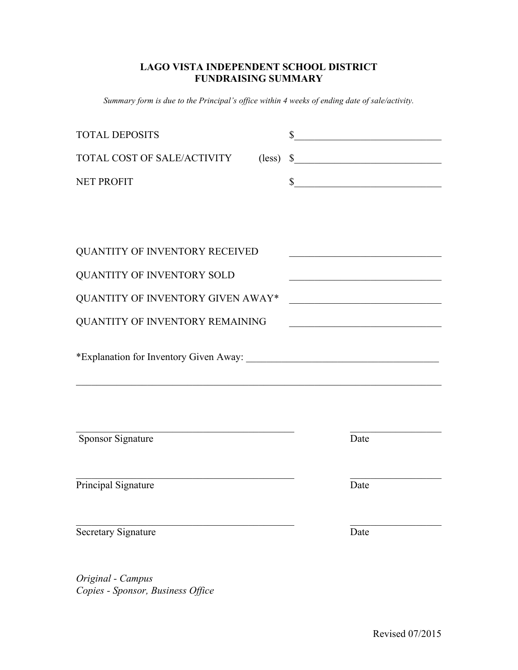## **LAGO VISTA INDEPENDENT SCHOOL DISTRICT FUNDRAISING SUMMARY**

*Summary form is due to the Principal's office within 4 weeks of ending date of sale/activity.*

| <b>TOTAL DEPOSITS</b>                                                                                                                       |                 | \$ | <u> 1989 - Johann John Stein, mars ar breist fan de Amerikaanske kommunister (</u> |  |  |  |
|---------------------------------------------------------------------------------------------------------------------------------------------|-----------------|----|------------------------------------------------------------------------------------|--|--|--|
| TOTAL COST OF SALE/ACTIVITY                                                                                                                 | $(\text{less})$ |    | $\frac{1}{2}$                                                                      |  |  |  |
| <b>NET PROFIT</b>                                                                                                                           |                 |    | s                                                                                  |  |  |  |
|                                                                                                                                             |                 |    |                                                                                    |  |  |  |
|                                                                                                                                             |                 |    |                                                                                    |  |  |  |
| <b>QUANTITY OF INVENTORY RECEIVED</b>                                                                                                       |                 |    | <u> 1989 - Johann Barbara, martxa alemaniar amerikan a</u>                         |  |  |  |
| QUANTITY OF INVENTORY SOLD                                                                                                                  |                 |    | <u> 1990 - Johann Barbara, martin a</u>                                            |  |  |  |
| QUANTITY OF INVENTORY GIVEN AWAY*<br><u> 1989 - Johann Barbara, martxa alemaniar a</u>                                                      |                 |    |                                                                                    |  |  |  |
| QUANTITY OF INVENTORY REMAINING<br><u> 1989 - Johann John Stone, mars eta biztanleria (h. 1989).</u>                                        |                 |    |                                                                                    |  |  |  |
| <u> 1989 - Johann Stoff, amerikansk politiker (d. 1989)</u>                                                                                 |                 |    |                                                                                    |  |  |  |
| <b>Sponsor Signature</b>                                                                                                                    |                 |    | Date                                                                               |  |  |  |
| <u> 1989 - Johann Barbara, martin amerikan basar dan basa dalam basa dalam basa dalam basa dalam basa dalam basa</u><br>Principal Signature |                 |    | Date                                                                               |  |  |  |
| Secretary Signature                                                                                                                         |                 |    | Date                                                                               |  |  |  |

*Original - Campus Copies - Sponsor, Business Office*